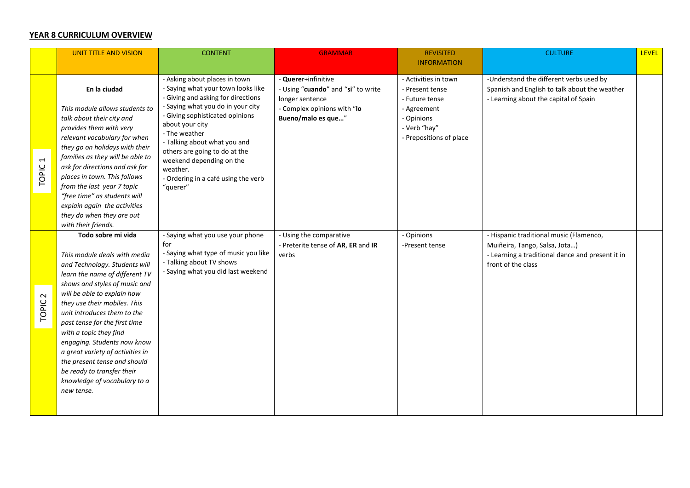## **YEAR 8 CURRICULUM OVERVIEW**

|                                   | <b>UNIT TITLE AND VISION</b>                                                                                                                                                                                                                                                                                                                                                                                                                                                                   | <b>CONTENT</b>                                                                                                                                                                                                                                                                                                                                                                    | <b>GRAMMAR</b>                                                                                                                    | <b>REVISITED</b>                                                                                                                  | <b>CULTURE</b>                                                                                                                                     | <b>LEVEL</b> |
|-----------------------------------|------------------------------------------------------------------------------------------------------------------------------------------------------------------------------------------------------------------------------------------------------------------------------------------------------------------------------------------------------------------------------------------------------------------------------------------------------------------------------------------------|-----------------------------------------------------------------------------------------------------------------------------------------------------------------------------------------------------------------------------------------------------------------------------------------------------------------------------------------------------------------------------------|-----------------------------------------------------------------------------------------------------------------------------------|-----------------------------------------------------------------------------------------------------------------------------------|----------------------------------------------------------------------------------------------------------------------------------------------------|--------------|
|                                   |                                                                                                                                                                                                                                                                                                                                                                                                                                                                                                |                                                                                                                                                                                                                                                                                                                                                                                   |                                                                                                                                   | <b>INFORMATION</b>                                                                                                                |                                                                                                                                                    |              |
| $\overline{\phantom{0}}$<br>TOPIC | En la ciudad<br>This module allows students to<br>talk about their city and<br>provides them with very<br>relevant vocabulary for when<br>they go on holidays with their<br>families as they will be able to<br>ask for directions and ask for<br>places in town. This follows<br>from the last year 7 topic<br>"free time" as students will<br>explain again the activities<br>they do when they are out<br>with their friends.                                                               | - Asking about places in town<br>- Saying what your town looks like<br>- Giving and asking for directions<br>- Saying what you do in your city<br>- Giving sophisticated opinions<br>about your city<br>- The weather<br>- Talking about what you and<br>others are going to do at the<br>weekend depending on the<br>weather.<br>- Ordering in a café using the verb<br>"querer" | - Querer+infinitive<br>- Using "cuando" and "si" to write<br>longer sentence<br>- Complex opinions with "lo<br>Bueno/malo es que" | - Activities in town<br>- Present tense<br>- Future tense<br>- Agreement<br>- Opinions<br>- Verb "hay"<br>- Prepositions of place | -Understand the different verbs used by<br>Spanish and English to talk about the weather<br>- Learning about the capital of Spain                  |              |
| $\sim$<br><b>TOPIC</b>            | Todo sobre mi vida<br>This module deals with media<br>and Technology. Students will<br>learn the name of different TV<br>shows and styles of music and<br>will be able to explain how<br>they use their mobiles. This<br>unit introduces them to the<br>past tense for the first time<br>with a topic they find<br>engaging. Students now know<br>a great variety of activities in<br>the present tense and should<br>be ready to transfer their<br>knowledge of vocabulary to a<br>new tense. | - Saying what you use your phone<br>for<br>- Saying what type of music you like<br>- Talking about TV shows<br>- Saying what you did last weekend                                                                                                                                                                                                                                 | - Using the comparative<br>- Preterite tense of AR, ER and IR<br>verbs                                                            | - Opinions<br>-Present tense                                                                                                      | - Hispanic traditional music (Flamenco,<br>Muiñeira, Tango, Salsa, Jota)<br>- Learning a traditional dance and present it in<br>front of the class |              |